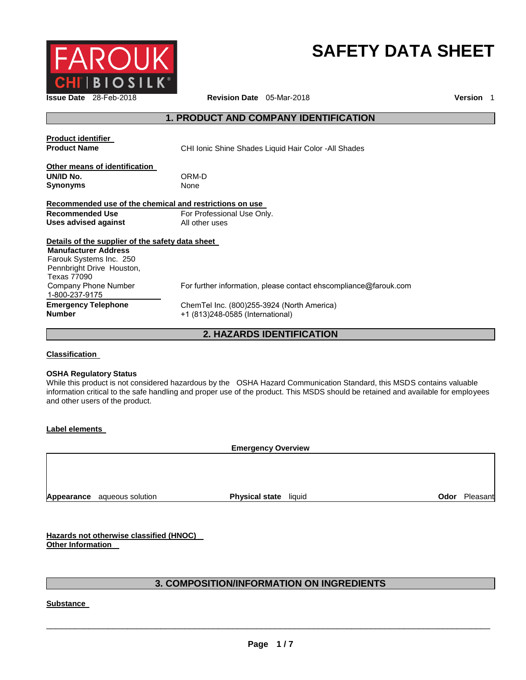

# **SAFETY DATA SHEET**

**Issue Date** 28-Feb-2018 **Revision Date** 05-Mar-2018 **Version** 1

# **1. PRODUCT AND COMPANY IDENTIFICATION**

| <b>Product identifier</b><br><b>Product Name</b>        | CHI Ionic Shine Shades Liquid Hair Color -All Shades             |
|---------------------------------------------------------|------------------------------------------------------------------|
| Other means of identification<br>UN/ID No.<br>Synonyms  | ORM-D<br>None                                                    |
| Recommended use of the chemical and restrictions on use |                                                                  |
| <b>Recommended Use</b>                                  | For Professional Use Only.                                       |
| Uses advised against                                    | All other uses                                                   |
| Details of the supplier of the safety data sheet        |                                                                  |
| <b>Manufacturer Address</b>                             |                                                                  |
| Farouk Systems Inc. 250                                 |                                                                  |
| Pennbright Drive Houston,<br>Texas 77090                |                                                                  |
| Company Phone Number                                    | For further information, please contact ehscompliance@farouk.com |
| 1-800-237-9175                                          |                                                                  |
| <b>Emergency Telephone</b><br>Number                    | ChemTel Inc. (800)255-3924 (North America)                       |
|                                                         | +1 (813)248-0585 (International)                                 |

# **2. HAZARDS IDENTIFICATION**

# **Classification**

#### **OSHA Regulatory Status**

While this product is not considered hazardous by the OSHA Hazard Communication Standard, this MSDS contains valuable information critical to the safe handling and proper use of the product. This MSDS should be retained and available for employees and other users of the product.

#### **Label elements**

**Emergency Overview** 

**Appearance** aqueous solution **Physical state liquid Connection Odor** Pleasant

**Hazards not otherwise classified (HNOC) Other Information** 

# **3. COMPOSITION/INFORMATION ON INGREDIENTS**

**Substance**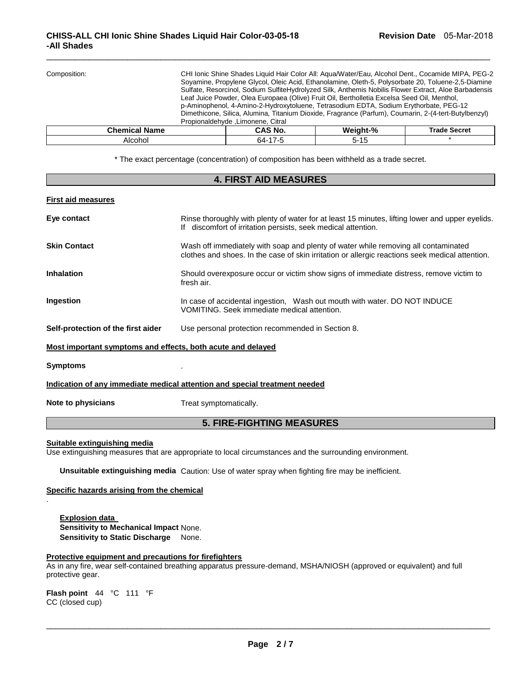| Composition:         | CHI Ionic Shine Shades Liquid Hair Color All: Agua/Water/Eau, Alcohol Dent., Cocamide MIPA, PEG-2<br>Soyamine, Propylene Glycol, Oleic Acid, Ethanolamine, Oleth-5, Polysorbate 20, Toluene-2,5-Diamine<br>Sulfate, Resorcinol, Sodium SulfiteHydrolyzed Silk, Anthemis Nobilis Flower Extract, Aloe Barbadensis<br>Leaf Juice Powder, Olea Europaea (Olive) Fruit Oil, Bertholletia Excelsa Seed Oil, Menthol,<br>p-Aminophenol, 4-Amino-2-Hydroxytoluene, Tetrasodium EDTA, Sodium Erythorbate, PEG-12<br>Dimethicone, Silica, Alumina, Titanium Dioxide, Fragrance (Parfum), Coumarin, 2-(4-tert-Butylbenzyl)<br>Propionaldehyde, Limonene, Citral |         |          |                     |
|----------------------|-------------------------------------------------------------------------------------------------------------------------------------------------------------------------------------------------------------------------------------------------------------------------------------------------------------------------------------------------------------------------------------------------------------------------------------------------------------------------------------------------------------------------------------------------------------------------------------------------------------------------------------------------------|---------|----------|---------------------|
| <b>Chemical Name</b> |                                                                                                                                                                                                                                                                                                                                                                                                                                                                                                                                                                                                                                                       | CAS No. | Weight-% | <b>Trade Secret</b> |
| Alcohol              | 64-17-5<br>$5 - 15$                                                                                                                                                                                                                                                                                                                                                                                                                                                                                                                                                                                                                                   |         |          |                     |

 $\Box$ 

\* The exact percentage (concentration) of composition has been withheld as a trade secret.

| <b>4. FIRST AID MEASURES</b>                                               |                                                                                                                                                                                       |  |  |  |
|----------------------------------------------------------------------------|---------------------------------------------------------------------------------------------------------------------------------------------------------------------------------------|--|--|--|
| <b>First aid measures</b>                                                  |                                                                                                                                                                                       |  |  |  |
| Eye contact                                                                | Rinse thoroughly with plenty of water for at least 15 minutes, lifting lower and upper eyelids.<br>If discomfort of irritation persists, seek medical attention.                      |  |  |  |
| <b>Skin Contact</b>                                                        | Wash off immediately with soap and plenty of water while removing all contaminated<br>clothes and shoes. In the case of skin irritation or allergic reactions seek medical attention. |  |  |  |
| <b>Inhalation</b>                                                          | Should overexposure occur or victim show signs of immediate distress, remove victim to<br>fresh air.                                                                                  |  |  |  |
| Ingestion                                                                  | In case of accidental ingestion, Wash out mouth with water. DO NOT INDUCE<br>VOMITING. Seek immediate medical attention.                                                              |  |  |  |
| Self-protection of the first aider                                         | Use personal protection recommended in Section 8.                                                                                                                                     |  |  |  |
| Most important symptoms and effects, both acute and delayed                |                                                                                                                                                                                       |  |  |  |
| <b>Symptoms</b>                                                            |                                                                                                                                                                                       |  |  |  |
| Indication of any immediate medical attention and special treatment needed |                                                                                                                                                                                       |  |  |  |
| Note to physicians                                                         | Treat symptomatically.                                                                                                                                                                |  |  |  |
| <b>5. FIRE-FIGHTING MEASURES</b>                                           |                                                                                                                                                                                       |  |  |  |

## **Suitable extinguishing media**

.

Use extinguishing measures that are appropriate to local circumstances and the surrounding environment.

**Unsuitable extinguishing media** Caution: Use of water spray when fighting fire may be inefficient.

# **Specific hazards arising from the chemical**

**Explosion data Sensitivity to Mechanical Impact** None. **Sensitivity to Static Discharge** None.

# **Protective equipment and precautions for firefighters**

As in any fire, wear self-contained breathing apparatus pressure-demand, MSHA/NIOSH (approved or equivalent) and full protective gear.

**Flash point** 44 °C 111 °F CC (closed cup)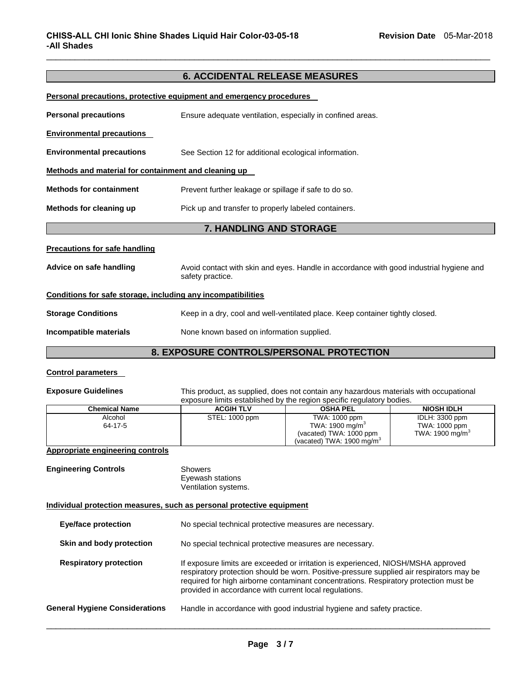# **6. ACCIDENTAL RELEASE MEASURES**

 $\Box$ 

| <b>Personal precautions, protective equipment and emergency procedures</b> |                                                                                                             |  |  |
|----------------------------------------------------------------------------|-------------------------------------------------------------------------------------------------------------|--|--|
| <b>Personal precautions</b>                                                | Ensure adequate ventilation, especially in confined areas.                                                  |  |  |
| <b>Environmental precautions</b>                                           |                                                                                                             |  |  |
| <b>Environmental precautions</b>                                           | See Section 12 for additional ecological information.                                                       |  |  |
| Methods and material for containment and cleaning up                       |                                                                                                             |  |  |
| <b>Methods for containment</b>                                             | Prevent further leakage or spillage if safe to do so.                                                       |  |  |
| Methods for cleaning up                                                    | Pick up and transfer to properly labeled containers.                                                        |  |  |
|                                                                            | 7. HANDLING AND STORAGE                                                                                     |  |  |
| <b>Precautions for safe handling</b>                                       |                                                                                                             |  |  |
| Advice on safe handling                                                    | Avoid contact with skin and eyes. Handle in accordance with good industrial hygiene and<br>safety practice. |  |  |
| Conditions for safe storage, including any incompatibilities               |                                                                                                             |  |  |
| <b>Storage Conditions</b>                                                  | Keep in a dry, cool and well-ventilated place. Keep container tightly closed.                               |  |  |
| Incompatible materials                                                     | None known based on information supplied.                                                                   |  |  |
| 8. EXPOSURE CONTROLS/PERSONAL PROTECTION                                   |                                                                                                             |  |  |
| <b>Control parameters</b>                                                  |                                                                                                             |  |  |

# **Exposure Guidelines** This product, as supplied, does not contain any hazardous materials with occupational

| exposure limits established by the region specific regulatory bodies. |                  |                                                                         |                                                                |  |
|-----------------------------------------------------------------------|------------------|-------------------------------------------------------------------------|----------------------------------------------------------------|--|
| <b>Chemical Name</b>                                                  | <b>ACGIH TLV</b> | <b>OSHA PEL</b>                                                         | <b>NIOSH IDLH</b>                                              |  |
| Alcohol<br>64-17-5                                                    | STEL: 1000 ppm   | TWA: 1000 ppm<br>TWA: 1900 mg/m <sup>3</sup><br>(vacated) TWA: 1000 ppm | IDLH: 3300 ppm<br>TWA: 1000 ppm<br>TWA: 1900 mg/m <sup>3</sup> |  |
|                                                                       |                  | (vacated) TWA: $1900 \,\mathrm{mg/m^3}$                                 |                                                                |  |

# **Appropriate engineering controls**

| <b>Engineering Controls</b> | Showers              |
|-----------------------------|----------------------|
|                             | Eyewash stations     |
|                             | Ventilation systems. |
|                             |                      |

# **Individual protection measures, such as personal protective equipment**

| <b>Eye/face protection</b>            | No special technical protective measures are necessary.                                                                                                                                                                                                                                                                          |
|---------------------------------------|----------------------------------------------------------------------------------------------------------------------------------------------------------------------------------------------------------------------------------------------------------------------------------------------------------------------------------|
| Skin and body protection              | No special technical protective measures are necessary.                                                                                                                                                                                                                                                                          |
| <b>Respiratory protection</b>         | If exposure limits are exceeded or irritation is experienced, NIOSH/MSHA approved<br>respiratory protection should be worn. Positive-pressure supplied air respirators may be<br>required for high airborne contaminant concentrations. Respiratory protection must be<br>provided in accordance with current local regulations. |
| <b>General Hygiene Considerations</b> | Handle in accordance with good industrial hygiene and safety practice.                                                                                                                                                                                                                                                           |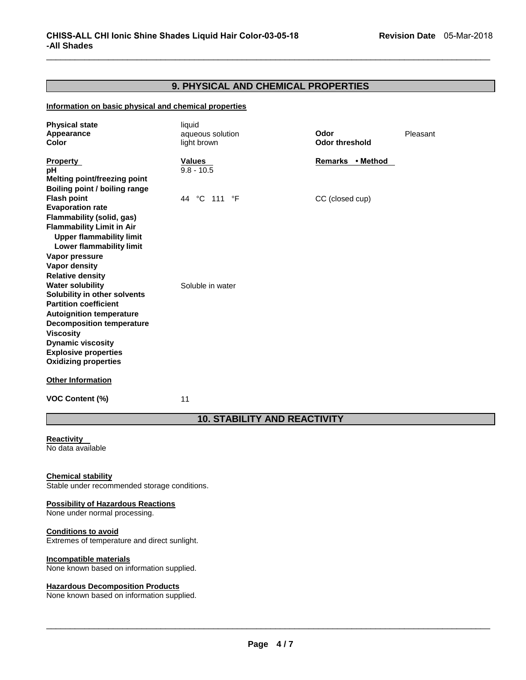# **9. PHYSICAL AND CHEMICAL PROPERTIES**

 $\Box$ 

# **Information on basic physical and chemical properties**

| <b>Physical state</b><br>Appearance<br>Color                                                                                                                                                                                                                                 | liquid<br>aqueous solution<br>light brown | Odor<br><b>Odor threshold</b> | Pleasant |
|------------------------------------------------------------------------------------------------------------------------------------------------------------------------------------------------------------------------------------------------------------------------------|-------------------------------------------|-------------------------------|----------|
| <b>Property</b><br>рH<br>Melting point/freezing point<br>Boiling point / boiling range                                                                                                                                                                                       | <b>Values</b><br>$9.8 - 10.5$             | Remarks • Method              |          |
| <b>Flash point</b><br><b>Evaporation rate</b><br><b>Flammability (solid, gas)</b><br><b>Flammability Limit in Air</b><br><b>Upper flammability limit</b><br><b>Lower flammability limit</b><br>Vapor pressure<br><b>Vapor density</b><br><b>Relative density</b>             | 44 °C 111 °F                              | CC (closed cup)               |          |
| <b>Water solubility</b><br>Solubility in other solvents<br><b>Partition coefficient</b><br><b>Autoignition temperature</b><br><b>Decomposition temperature</b><br><b>Viscosity</b><br><b>Dynamic viscosity</b><br><b>Explosive properties</b><br><b>Oxidizing properties</b> | Soluble in water                          |                               |          |
| <b>Other Information</b>                                                                                                                                                                                                                                                     |                                           |                               |          |
| <b>VOC Content (%)</b>                                                                                                                                                                                                                                                       | 11                                        |                               |          |

# **10. STABILITY AND REACTIVITY**

#### **Reactivity**  No data available

# **Chemical stability**

Stable under recommended storage conditions.

#### **Possibility of Hazardous Reactions**

None under normal processing.

#### **Conditions to avoid**

Extremes of temperature and direct sunlight.

## **Incompatible materials**

None known based on information supplied.

# **Hazardous Decomposition Products**

None known based on information supplied.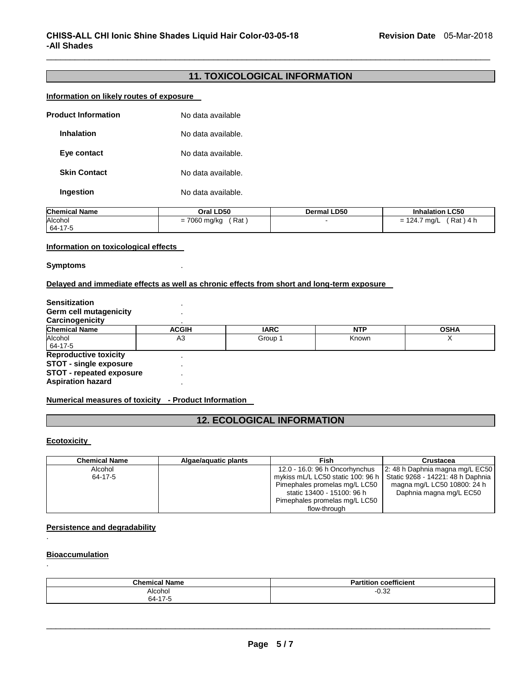# **11. TOXICOLOGICAL INFORMATION**

 $\Box$ 

# **Information on likely routes of exposure**

| <b>Product Information</b> | No data available  |
|----------------------------|--------------------|
| <b>Inhalation</b>          | No data available. |
| Eye contact                | No data available. |
| <b>Skin Contact</b>        | No data available. |
| Ingestion                  | No data available. |

| <b>Chemical Name</b> | Oral LD50    | <b>Dermal LD50</b> | <b>Inhalation LC50</b> |
|----------------------|--------------|--------------------|------------------------|
| Alcohol              | Rat          |                    | (Rat)4 h               |
| 64-17-5              | = 7060 mg/kg |                    | = 124.7 mg/L           |

#### **Information on toxicological effects**

# **Symptoms** .

# **Delayed and immediate effects as well as chronic effects from short and long-term exposure**

| <b>Sensitization</b>            |                |             |            |             |
|---------------------------------|----------------|-------------|------------|-------------|
| Germ cell mutagenicity          |                |             |            |             |
| Carcinogenicity                 |                |             |            |             |
| <b>Chemical Name</b>            | <b>ACGIH</b>   | <b>IARC</b> | <b>NTP</b> | <b>OSHA</b> |
| Alcohol                         | A <sub>3</sub> | Group 1     | Known      |             |
| 64-17-5                         |                |             |            |             |
| <b>Reproductive toxicity</b>    |                |             |            |             |
| <b>STOT - single exposure</b>   |                |             |            |             |
| <b>STOT - repeated exposure</b> |                |             |            |             |
| <b>Aspiration hazard</b>        |                |             |            |             |

## **Numerical measures of toxicity - Product Information**

# **12. ECOLOGICAL INFORMATION**

# **Ecotoxicity**

| <b>Chemical Name</b> | Algae/aquatic plants | Fish                              | Crustacea                         |
|----------------------|----------------------|-----------------------------------|-----------------------------------|
| Alcohol              |                      | 12.0 - 16.0: 96 h Oncorhynchus    | 2: 48 h Daphnia magna mg/L EC50   |
| 64-17-5              |                      | mykiss mL/L LC50 static 100: 96 h | Static 9268 - 14221: 48 h Daphnia |
|                      |                      | Pimephales promelas mg/L LC50     | magna mg/L LC50 10800: 24 h       |
|                      |                      | static 13400 - 15100: 96 h        | Daphnia magna mg/L EC50           |
|                      |                      | Pimephales promelas mg/L LC50     |                                   |
|                      |                      | flow-through                      |                                   |

# **Persistence and degradability**

#### **Bioaccumulation**

.

.

| <b>Chemical Name</b> | coefficient<br>Partition |
|----------------------|--------------------------|
| Alcohol              | ∩ מ<br>∪.ు∠              |
| 64-17-5              |                          |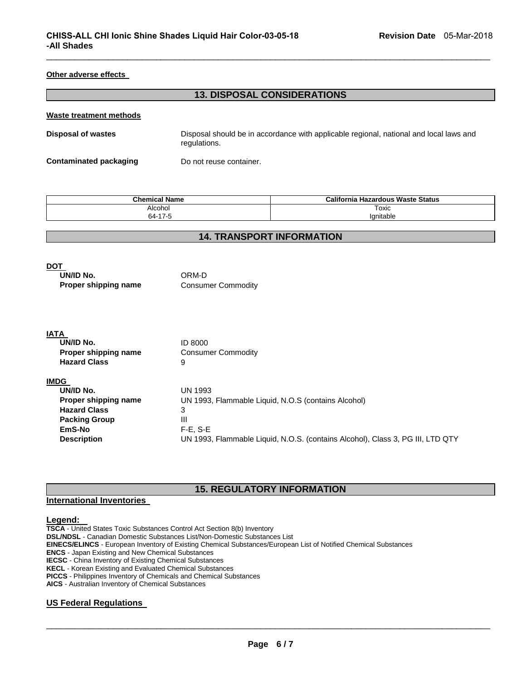#### **Other adverse effects**

# **13. DISPOSAL CONSIDERATIONS**

 $\Box$ 

#### **Waste treatment methods**

| <b>Disposal of wastes</b> | Disposal should be in accordance with applicable regional, national and local laws and<br>regulations. |  |  |  |
|---------------------------|--------------------------------------------------------------------------------------------------------|--|--|--|
| Contaminated packaging    | Do not reuse container.                                                                                |  |  |  |

| <b>Chemical Name</b> | California<br>ا Hazardous Waste Status |  |
|----------------------|----------------------------------------|--|
| Alcohol              | Toxic                                  |  |
| 47E<br>64-           | Ianitable                              |  |

# **14. TRANSPORT INFORMATION**

# **DOT**

| UN/ID No.            | ORM-D                     |  |
|----------------------|---------------------------|--|
| Proper shipping name | <b>Consumer Commodity</b> |  |

#### **IATA**

| UN/ID No.            | ID 8000                                                                        |
|----------------------|--------------------------------------------------------------------------------|
| Proper shipping name | <b>Consumer Commodity</b>                                                      |
| <b>Hazard Class</b>  | 9                                                                              |
| <b>IMDG</b>          |                                                                                |
| UN/ID No.            | UN 1993                                                                        |
| Proper shipping name | UN 1993, Flammable Liquid, N.O.S (contains Alcohol)                            |
| <b>Hazard Class</b>  | 3                                                                              |
| <b>Packing Group</b> | Ш                                                                              |
| EmS-No               | $F-E. S-E$                                                                     |
| <b>Description</b>   | UN 1993, Flammable Liquid, N.O.S. (contains Alcohol), Class 3, PG III, LTD QTY |

# **15. REGULATORY INFORMATION**

# **International Inventories**

# **Legend:**

**TSCA** - United States Toxic Substances Control Act Section 8(b) Inventory **DSL/NDSL** - Canadian Domestic Substances List/Non-Domestic Substances List **EINECS/ELINCS** - European Inventory of Existing Chemical Substances/European List of Notified Chemical Substances **ENCS** - Japan Existing and New Chemical Substances **IECSC** - China Inventory of Existing Chemical Substances **KECL** - Korean Existing and Evaluated Chemical Substances **PICCS** - Philippines Inventory of Chemicals and Chemical Substances **AICS** - Australian Inventory of Chemical Substances

## **US Federal Regulations**